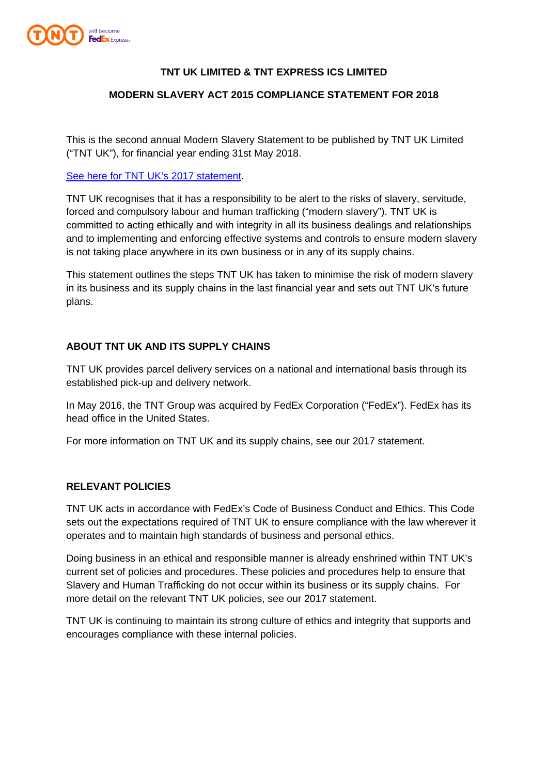

# **TNT UK LIMITED & TNT EXPRESS ICS LIMITED**

### **MODERN SLAVERY ACT 2015 COMPLIANCE STATEMENT FOR 2018**

This is the second annual Modern Slavery Statement to be published by TNT UK Limited ("TNT UK"), for financial year ending 31st May 2018.

#### [See here for TNT UK's 2017 statement.](https://www.tnt.com/content/dam/tnt_express_media/tnt-local-pages/en_gb/modern%20slavery%20act%202015%20compliance%20statement%20for%202017.pdf)

TNT UK recognises that it has a responsibility to be alert to the risks of slavery, servitude, forced and compulsory labour and human trafficking ("modern slavery"). TNT UK is committed to acting ethically and with integrity in all its business dealings and relationships and to implementing and enforcing effective systems and controls to ensure modern slavery is not taking place anywhere in its own business or in any of its supply chains.

This statement outlines the steps TNT UK has taken to minimise the risk of modern slavery in its business and its supply chains in the last financial year and sets out TNT UK's future plans.

# **ABOUT TNT UK AND ITS SUPPLY CHAINS**

TNT UK provides parcel delivery services on a national and international basis through its established pick-up and delivery network.

In May 2016, the TNT Group was acquired by FedEx Corporation ("FedEx"). FedEx has its head office in the United States.

For more information on TNT UK and its supply chains, see our 2017 statement.

#### **RELEVANT POLICIES**

TNT UK acts in accordance with FedEx's Code of Business Conduct and Ethics. This Code sets out the expectations required of TNT UK to ensure compliance with the law wherever it operates and to maintain high standards of business and personal ethics.

Doing business in an ethical and responsible manner is already enshrined within TNT UK's current set of policies and procedures. These policies and procedures help to ensure that Slavery and Human Trafficking do not occur within its business or its supply chains. For more detail on the relevant TNT UK policies, see our 2017 statement.

TNT UK is continuing to maintain its strong culture of ethics and integrity that supports and encourages compliance with these internal policies.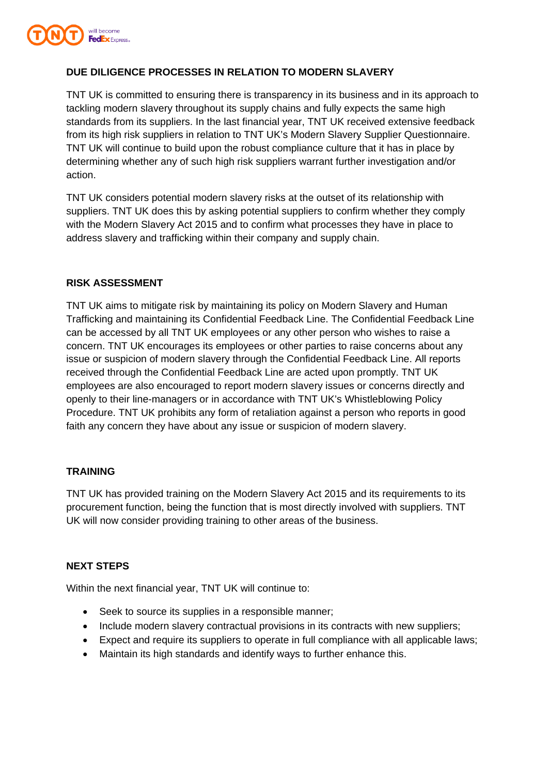

# **DUE DILIGENCE PROCESSES IN RELATION TO MODERN SLAVERY**

TNT UK is committed to ensuring there is transparency in its business and in its approach to tackling modern slavery throughout its supply chains and fully expects the same high standards from its suppliers. In the last financial year, TNT UK received extensive feedback from its high risk suppliers in relation to TNT UK's Modern Slavery Supplier Questionnaire. TNT UK will continue to build upon the robust compliance culture that it has in place by determining whether any of such high risk suppliers warrant further investigation and/or action.

TNT UK considers potential modern slavery risks at the outset of its relationship with suppliers. TNT UK does this by asking potential suppliers to confirm whether they comply with the Modern Slavery Act 2015 and to confirm what processes they have in place to address slavery and trafficking within their company and supply chain.

# **RISK ASSESSMENT**

TNT UK aims to mitigate risk by maintaining its policy on Modern Slavery and Human Trafficking and maintaining its Confidential Feedback Line. The Confidential Feedback Line can be accessed by all TNT UK employees or any other person who wishes to raise a concern. TNT UK encourages its employees or other parties to raise concerns about any issue or suspicion of modern slavery through the Confidential Feedback Line. All reports received through the Confidential Feedback Line are acted upon promptly. TNT UK employees are also encouraged to report modern slavery issues or concerns directly and openly to their line-managers or in accordance with TNT UK's Whistleblowing Policy Procedure. TNT UK prohibits any form of retaliation against a person who reports in good faith any concern they have about any issue or suspicion of modern slavery.

# **TRAINING**

TNT UK has provided training on the Modern Slavery Act 2015 and its requirements to its procurement function, being the function that is most directly involved with suppliers. TNT UK will now consider providing training to other areas of the business.

#### **NEXT STEPS**

Within the next financial year, TNT UK will continue to:

- Seek to source its supplies in a responsible manner:
- Include modern slavery contractual provisions in its contracts with new suppliers;
- Expect and require its suppliers to operate in full compliance with all applicable laws;
- Maintain its high standards and identify ways to further enhance this.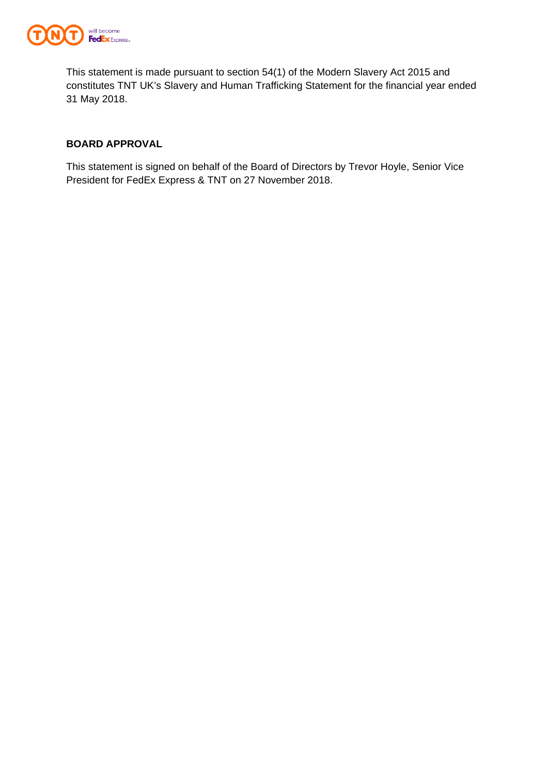

This statement is made pursuant to section 54(1) of the Modern Slavery Act 2015 and constitutes TNT UK's Slavery and Human Trafficking Statement for the financial year ended 31 May 2018.

# **BOARD APPROVAL**

This statement is signed on behalf of the Board of Directors by Trevor Hoyle, Senior Vice President for FedEx Express & TNT on 27 November 2018.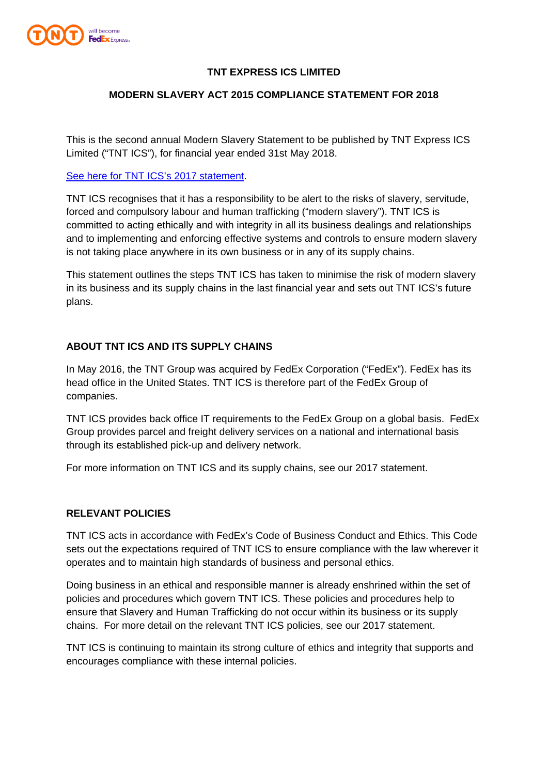

# **TNT EXPRESS ICS LIMITED**

# **MODERN SLAVERY ACT 2015 COMPLIANCE STATEMENT FOR 2018**

This is the second annual Modern Slavery Statement to be published by TNT Express ICS Limited ("TNT ICS"), for financial year ended 31st May 2018.

#### [See here for TNT ICS's 2017 statement.](https://www.tnt.com/content/dam/tnt_express_media/tnt-local-pages/en_gb/modern%20slavery%20act%202015%20compliance%20statement%20for%202017.pdf)

TNT ICS recognises that it has a responsibility to be alert to the risks of slavery, servitude, forced and compulsory labour and human trafficking ("modern slavery"). TNT ICS is committed to acting ethically and with integrity in all its business dealings and relationships and to implementing and enforcing effective systems and controls to ensure modern slavery is not taking place anywhere in its own business or in any of its supply chains.

This statement outlines the steps TNT ICS has taken to minimise the risk of modern slavery in its business and its supply chains in the last financial year and sets out TNT ICS's future plans.

# **ABOUT TNT ICS AND ITS SUPPLY CHAINS**

In May 2016, the TNT Group was acquired by FedEx Corporation ("FedEx"). FedEx has its head office in the United States. TNT ICS is therefore part of the FedEx Group of companies.

TNT ICS provides back office IT requirements to the FedEx Group on a global basis. FedEx Group provides parcel and freight delivery services on a national and international basis through its established pick-up and delivery network.

For more information on TNT ICS and its supply chains, see our 2017 statement.

#### **RELEVANT POLICIES**

TNT ICS acts in accordance with FedEx's Code of Business Conduct and Ethics. This Code sets out the expectations required of TNT ICS to ensure compliance with the law wherever it operates and to maintain high standards of business and personal ethics.

Doing business in an ethical and responsible manner is already enshrined within the set of policies and procedures which govern TNT ICS. These policies and procedures help to ensure that Slavery and Human Trafficking do not occur within its business or its supply chains. For more detail on the relevant TNT ICS policies, see our 2017 statement.

TNT ICS is continuing to maintain its strong culture of ethics and integrity that supports and encourages compliance with these internal policies.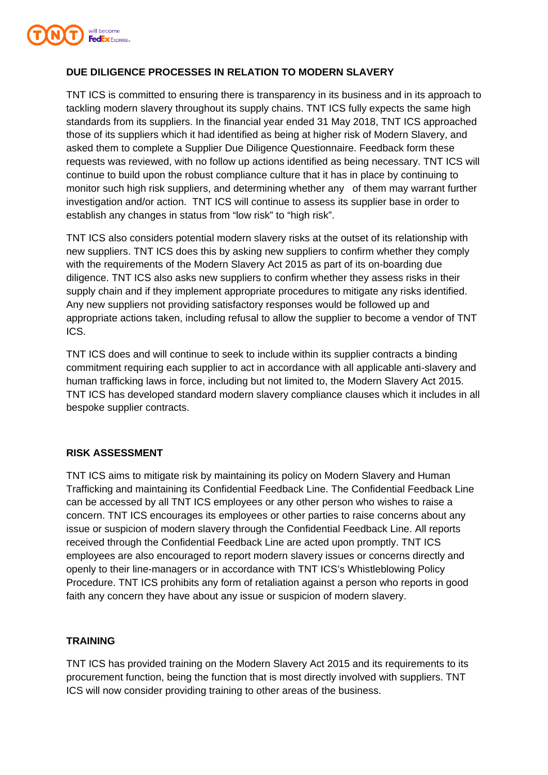

# **DUE DILIGENCE PROCESSES IN RELATION TO MODERN SLAVERY**

TNT ICS is committed to ensuring there is transparency in its business and in its approach to tackling modern slavery throughout its supply chains. TNT ICS fully expects the same high standards from its suppliers. In the financial year ended 31 May 2018, TNT ICS approached those of its suppliers which it had identified as being at higher risk of Modern Slavery, and asked them to complete a Supplier Due Diligence Questionnaire. Feedback form these requests was reviewed, with no follow up actions identified as being necessary. TNT ICS will continue to build upon the robust compliance culture that it has in place by continuing to monitor such high risk suppliers, and determining whether any of them may warrant further investigation and/or action. TNT ICS will continue to assess its supplier base in order to establish any changes in status from "low risk" to "high risk".

TNT ICS also considers potential modern slavery risks at the outset of its relationship with new suppliers. TNT ICS does this by asking new suppliers to confirm whether they comply with the requirements of the Modern Slavery Act 2015 as part of its on-boarding due diligence. TNT ICS also asks new suppliers to confirm whether they assess risks in their supply chain and if they implement appropriate procedures to mitigate any risks identified. Any new suppliers not providing satisfactory responses would be followed up and appropriate actions taken, including refusal to allow the supplier to become a vendor of TNT ICS.

TNT ICS does and will continue to seek to include within its supplier contracts a binding commitment requiring each supplier to act in accordance with all applicable anti-slavery and human trafficking laws in force, including but not limited to, the Modern Slavery Act 2015. TNT ICS has developed standard modern slavery compliance clauses which it includes in all bespoke supplier contracts.

# **RISK ASSESSMENT**

TNT ICS aims to mitigate risk by maintaining its policy on Modern Slavery and Human Trafficking and maintaining its Confidential Feedback Line. The Confidential Feedback Line can be accessed by all TNT ICS employees or any other person who wishes to raise a concern. TNT ICS encourages its employees or other parties to raise concerns about any issue or suspicion of modern slavery through the Confidential Feedback Line. All reports received through the Confidential Feedback Line are acted upon promptly. TNT ICS employees are also encouraged to report modern slavery issues or concerns directly and openly to their line-managers or in accordance with TNT ICS's Whistleblowing Policy Procedure. TNT ICS prohibits any form of retaliation against a person who reports in good faith any concern they have about any issue or suspicion of modern slavery.

# **TRAINING**

TNT ICS has provided training on the Modern Slavery Act 2015 and its requirements to its procurement function, being the function that is most directly involved with suppliers. TNT ICS will now consider providing training to other areas of the business.